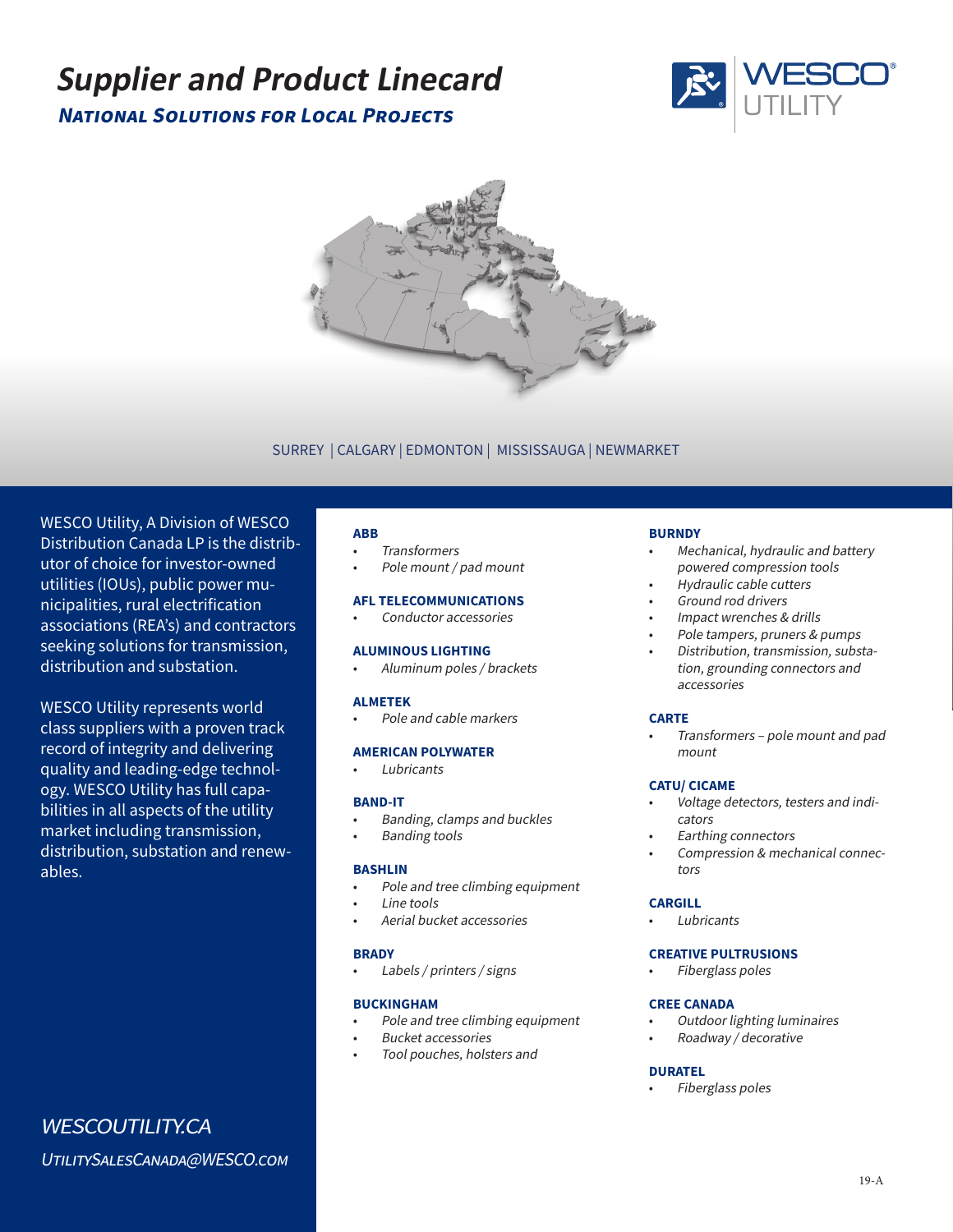# **National Solutions for Local Projects Supplier and Product Linecard**





# SURREY | CALGARY | EDMONTON | MISSISSAUGA | NEWMARKET

WESCO Utility, A Division of WESCO Distribution Canada LP is the distributor of choice for investor-owned utilities (IOUs), public power municipalities, rural electrification associations (REA's) and contractors seeking solutions for transmission, distribution and substation.

WESCO Utility represents world class suppliers with a proven track record of integrity and delivering quality and leading-edge technology. WESCO Utility has full capabilities in all aspects of the utility market including transmission, distribution, substation and renewables.

#### **ABB**

- **Transformers**
- Pole mount / pad mount

# **AFL TELECOMMUNICATIONS**

Conductor accessories

#### **ALUMINOUS LIGHTING**

• Aluminum poles / brackets

#### **ALMETEK**

• Pole and cable markers

#### **AMERICAN POLYWATER**

**Lubricants** 

#### **BAND-IT**

- Banding, clamps and buckles
	- Banding tools

#### **BASHLIN**

- Pole and tree climbing equipment
- Line tools
- Aerial bucket accessories

#### **BRADY**

• Labels / printers / signs

#### **BUCKINGHAM**

- Pole and tree climbing equipment
- Bucket accessories
- Tool pouches, holsters and

#### **BURNDY**

- Mechanical, hydraulic and battery powered compression tools
- Hydraulic cable cutters
- Ground rod drivers
- Impact wrenches & drills
- Pole tampers, pruners & pumps • Distribution, transmission, substation, grounding connectors and accessories

#### **CARTE**

• Transformers – pole mount and pad mount

#### **CATU/ CICAME**

- Voltage detectors, testers and indicators
- Earthing connectors
- Compression & mechanical connectors

#### **CARGILL**

**Lubricants** 

#### **CREATIVE PULTRUSIONS**

• Fiberglass poles

### **CREE CANADA**

- Outdoor lighting luminaires
- Roadway / decorative

#### **DURATEL**

• Fiberglass poles

UtilitySalesCanada@WESCO.com

WESCOUTILITY.CA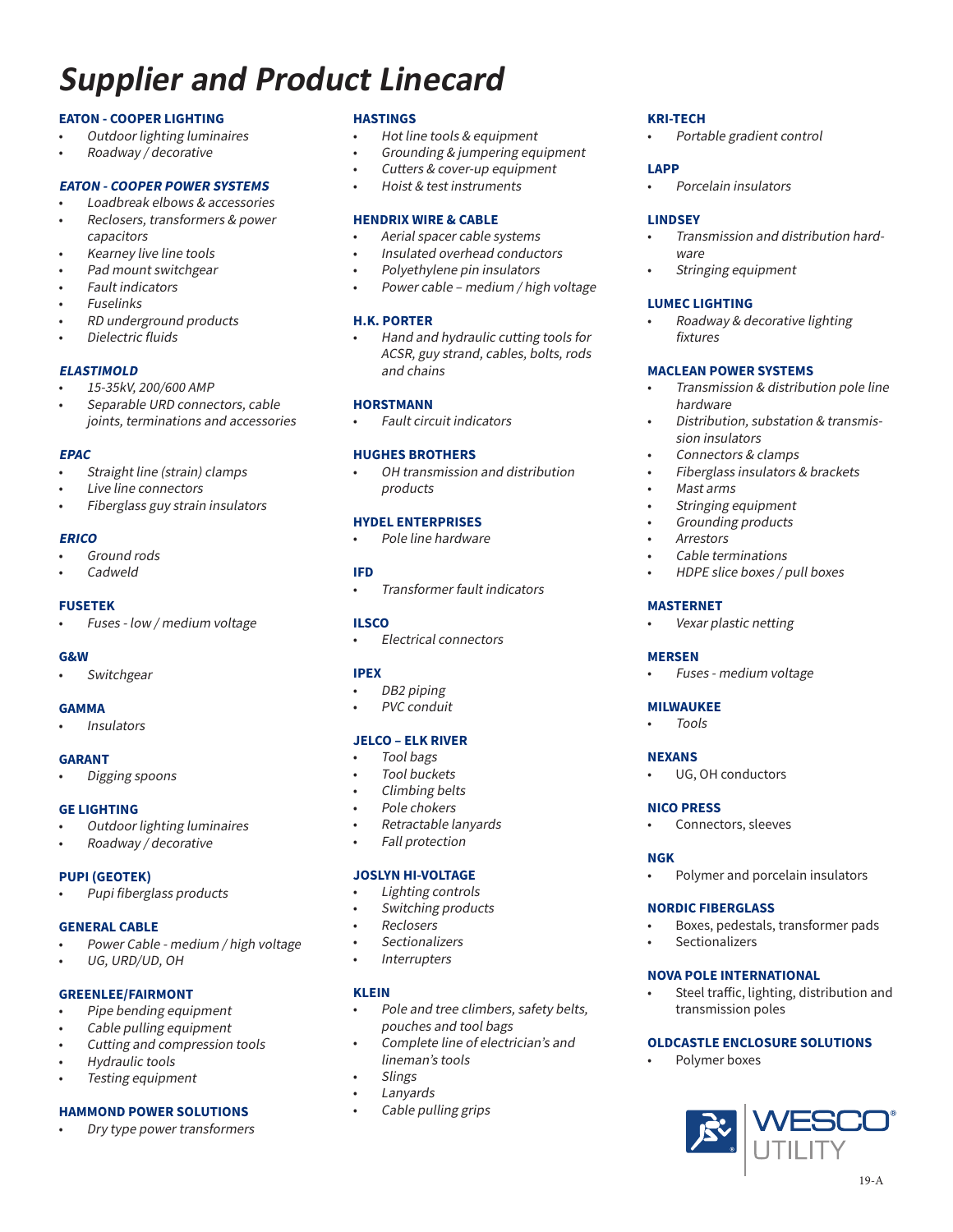# **Supplier and Product Linecard**

# **EATON - COOPER LIGHTING**

- Outdoor lighting luminaires
- Roadway / decorative

# **EATON - COOPER POWER SYSTEMS**

- Loadbreak elbows & accessories
- Reclosers, transformers & power capacitors
- Kearney live line tools
- Pad mount switchgear
- Fault indicators
- **Fuselinks**
- RD underground products
- Dielectric fluids

#### **ELASTIMOLD**

- 15-35kV, 200/600 AMP
- Separable URD connectors, cable joints, terminations and accessories

#### **EPAC**

- Straight line (strain) clamps
- Live line connectors
- Fiberglass guy strain insulators

#### **ERICO**

- Ground rods
- Cadweld

#### **FUSETEK**

• Fuses - low / medium voltage

#### **G&W**

**Switchgear** 

#### **GAMMA**

**Insulators** 

#### **GARANT**

• Digging spoons

#### **GE LIGHTING**

- Outdoor lighting luminaires
- Roadway / decorative

#### **PUPI (GEOTEK)**

• Pupi fiberglass products

#### **GENERAL CABLE**

- Power Cable medium / high voltage
- UG, URD/UD, OH

# **GREENLEE/FAIRMONT**

- Pipe bending equipment
- Cable pulling equipment
- Cutting and compression tools
- Hydraulic tools
- Testing equipment

#### **HAMMOND POWER SOLUTIONS**

• Dry type power transformers

#### **HASTINGS**

- Hot line tools & equipment
- Grounding & jumpering equipment
- Cutters & cover-up equipment
- Hoist & test instruments

#### **HENDRIX WIRE & CABLE**

- Aerial spacer cable systems
- Insulated overhead conductors
- Polyethylene pin insulators
- Power cable medium / high voltage

#### **H.K. PORTER**

• Hand and hydraulic cutting tools for ACSR, guy strand, cables, bolts, rods and chains

#### **HORSTMANN**

• Fault circuit indicators

#### **HUGHES BROTHERS**

• OH transmission and distribution products

# **HYDEL ENTERPRISES**

• Pole line hardware

#### **IFD**

• Transformer fault indicators

#### **ILSCO**

• Electrical connectors

# **IPEX**

- DB<sub>2</sub> piping
- PVC conduit

#### **JELCO – ELK RIVER**

- Tool bags
- Tool buckets
- Climbing belts
- Pole chokers
- Retractable lanyards
- Fall protection

#### **JOSLYN HI-VOLTAGE**

- Lighting controls
- Switching products
- Reclosers
- **Sectionalizers**
- **Interrupters**

# **KLEIN**

- Pole and tree climbers, safety belts, pouches and tool bags
- Complete line of electrician's and lineman's tools
- **Slings**
- **Lanyards**
- Cable pulling grips

#### **KRI-TECH**

• Portable gradient control

# **LAPP**

• Porcelain insulators

#### **LINDSEY**

• Transmission and distribution hardware

• Transmission & distribution pole line

• Distribution, substation & transmis-

• Fiberglass insulators & brackets

• HDPE slice boxes / pull boxes

• Stringing equipment

# **LUMEC LIGHTING**

hardware

• Mast arms

**MASTERNET**

**MILWAUKEE** • Tools

**NICO PRESS**

**MERSEN**

**NEXANS**

**NGK**

sion insulators • Connectors & clamps

Stringing equipment • Grounding products **Arrestors** 

Cable terminations

Vexar plastic netting

• Fuses - medium voltage

UG, OH conductors

• Connectors, sleeves

**NORDIC FIBERGLASS**

**Sectionalizers** 

**NOVA POLE INTERNATIONAL**

transmission poles

Polymer boxes

• Polymer and porcelain insulators

• Boxes, pedestals, transformer pads

Steel traffic, lighting, distribution and

19-A

**OLDCASTLE ENCLOSURE SOLUTIONS**

• Roadway & decorative lighting fixtures

**MACLEAN POWER SYSTEMS**